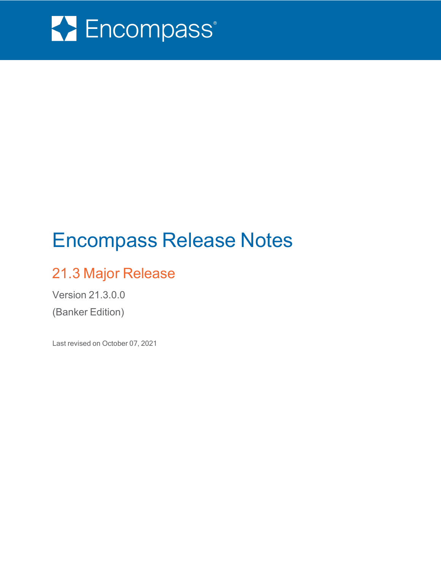

# Encompass Release Notes

## 21.3 Major Release

Version 21.3.0.0 (Banker Edition)

Last revised on October 07, 2021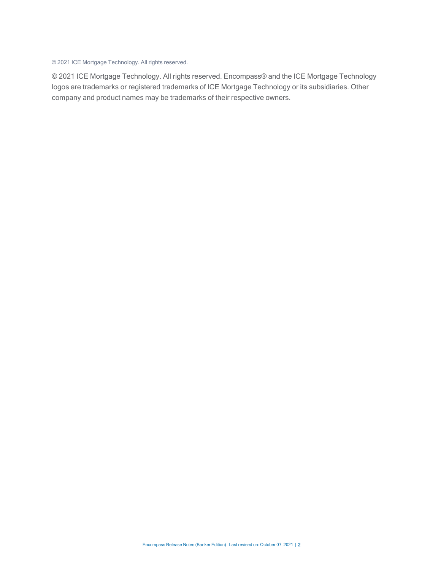#### © 2021 ICE Mortgage Technology. All rights reserved.

© 2021 ICE Mortgage Technology. All rights reserved. Encompass® and the ICE Mortgage Technology logos are trademarks or registered trademarks of ICE Mortgage Technology or its subsidiaries. Other company and product names may be trademarks of their respective owners.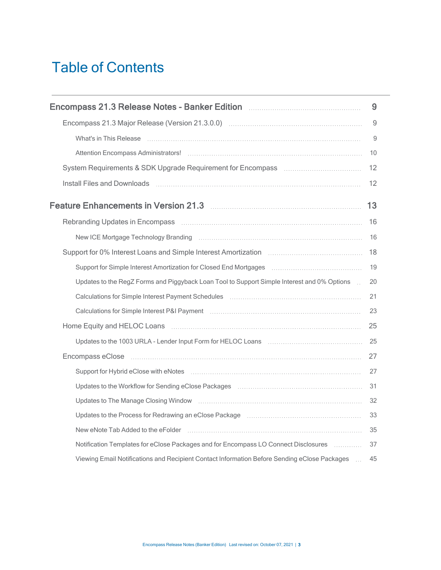# Table of Contents

| Encompass 21.3 Release Notes - Banker Edition <b>Manual Accepts</b> 21.3 Release Notes - Banker Edition <b>Manual Accepts</b>                                                                                                  | 9           |
|--------------------------------------------------------------------------------------------------------------------------------------------------------------------------------------------------------------------------------|-------------|
|                                                                                                                                                                                                                                | $\mathsf 9$ |
| What's in This Release <b>construction and the construction of the Release</b> of the United States of the United States                                                                                                       | 9           |
|                                                                                                                                                                                                                                | 10          |
|                                                                                                                                                                                                                                | 12          |
| Install Files and Downloads (Committee Committee Committee Committee Committee Committee Committee Committee C                                                                                                                 | 12          |
| Feature Enhancements in Version 21.3 <b>Manual Engineer Seature Enhancements</b> in Version 21.3                                                                                                                               | 13          |
| Rebranding Updates in Encompass (and the continuum continuum control of the state of the state of the state of the state of the state of the state of the state of the state of the state of the state of the state of the sta |             |
|                                                                                                                                                                                                                                | 16          |
| Support for 0% Interest Loans and Simple Interest Amortization [11] Communication [11] Support for 0% Interest Loans and Simple Interest Amortization                                                                          | 18          |
|                                                                                                                                                                                                                                | 19          |
| Updates to the RegZ Forms and Piggyback Loan Tool to Support Simple Interest and 0% Options.                                                                                                                                   | 20          |
| Calculations for Simple Interest Payment Schedules [11] [11] Calculations for Simple Interest Payment Schedules                                                                                                                | 21          |
| Calculations for Simple Interest P&I Payment (a) manufactured contains the control of the control of the calcu                                                                                                                 | 23          |
|                                                                                                                                                                                                                                | 25          |
|                                                                                                                                                                                                                                |             |
| Encompass eClose manufactured and all the compass eClose                                                                                                                                                                       | 27          |
|                                                                                                                                                                                                                                | 27          |
|                                                                                                                                                                                                                                | 31          |
| Updates to The Manage Closing Window manufactured and the Management of Management Control of Management Contr                                                                                                                 | 32          |
| Updates to the Process for Redrawing an eClose Package [11] [11] Updates to the Process for Redrawing an eClose Package                                                                                                        | 33          |
|                                                                                                                                                                                                                                | 35          |
| Notification Templates for eClose Packages and for Encompass LO Connect Disclosures                                                                                                                                            | 37          |
| Viewing Email Notifications and Recipient Contact Information Before Sending eClose Packages                                                                                                                                   | 45          |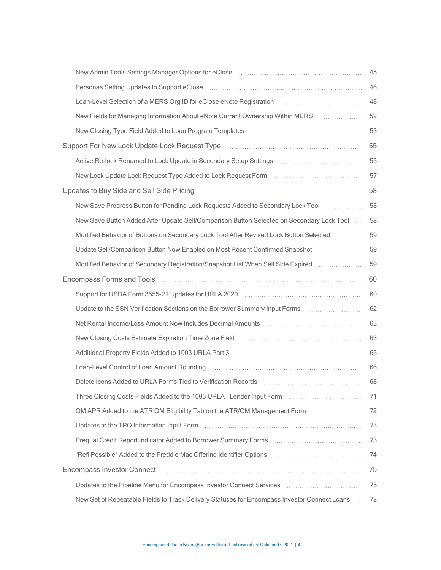| New Admin Tools Settings Manager Options for eClose [11] New Admin Tools Settings Manager Options for eClose                                                                                                                   | 45 |
|--------------------------------------------------------------------------------------------------------------------------------------------------------------------------------------------------------------------------------|----|
|                                                                                                                                                                                                                                | 46 |
| Loan-Level Selection of a MERS Org ID for eClose eNote Registration [11] [11] Loan-Level Selection of a MERS Org ID for eClose eNote Registration                                                                              | 48 |
| New Fields for Managing Information About eNote Current Ownership Within MERS                                                                                                                                                  | 52 |
|                                                                                                                                                                                                                                | 53 |
| Support For New Lock Update Lock Request Type [11] [11] Martham Martin Martin Martham Martham Martham Martham                                                                                                                  | 55 |
| Active Re-lock Renamed to Lock Update in Secondary Setup Settings [10] Mattimum Mattissim Mattissim Mattissim M                                                                                                                | 55 |
| New Lock Update Lock Request Type Added to Lock Request Form [11, 11] New Lock Update Lock Request Type Added to Lock Request Type 4                                                                                           | 57 |
| Updates to Buy Side and Sell Side Pricing [11] Martham Martin Martin Martin Martin Martin Martin Martin Marti                                                                                                                  | 58 |
| New Save Progress Button for Pending Lock Requests Added to Secondary Lock Tool [11, 11, 11, 11] New Save                                                                                                                      | 58 |
| New Save Button Added After Update Sell/Comparison Button Selected on Secondary Lock Tool                                                                                                                                      | 58 |
| Modified Behavior of Buttons on Secondary Lock Tool After Revised Lock Button Selected                                                                                                                                         | 59 |
| Update Sell/Comparison Button Now Enabled on Most Recent Confirmed Snapshot [11, 11, 11, 11, 11, 11, 11, 11, 1                                                                                                                 | 59 |
| Modified Behavior of Secondary Registration/Snapshot List When Sell Side Expired <b>Conservation</b> Modified <b>Reparation</b>                                                                                                | 59 |
| Encompass Forms and Tools (and Committee Committee Committee Committee Committee Committee Committee Committee                                                                                                                 | 60 |
|                                                                                                                                                                                                                                | 60 |
| Update to the SSN Verification Sections on the Borrower Summary Input Forms [11, 11, 11, 11, 11, 11, 11, 11, 1                                                                                                                 | 62 |
| Net Rental Income/Loss Amount Now Includes Decimal Amounts [11] [11] Net Rental Income/Loss Amount Now Includes Decimal Amounts [11] [11] Amounts Amounts Amounts Amounts Amounts Amounts Amounts Amounts Amounts Amounts Amou | 63 |
|                                                                                                                                                                                                                                | 63 |
|                                                                                                                                                                                                                                | 65 |
|                                                                                                                                                                                                                                | 66 |
| Delete Icons Added to URLA Forms Tied to Verification Records [11] [11] Delete Icons Added to URLA Forms Tied to Verification Records                                                                                          | 68 |
|                                                                                                                                                                                                                                | 71 |
| QM APR Added to the ATR QM Eligibility Tab on the ATR/QM Management Form                                                                                                                                                       | 72 |
|                                                                                                                                                                                                                                | 73 |
| Prequal Credit Report Indicator Added to Borrower Summary Forms [11] [11] Dream Credit Report Indicator Added to Borrower Summary Forms [11] Dream Credit Report Indicator                                                     | 73 |
| "Refi Possible" Added to the Freddie Mac Offering Identifier Options [[11, 11] Andrew Muslim Muslim Muslim Musl                                                                                                                | 74 |
|                                                                                                                                                                                                                                | 75 |
|                                                                                                                                                                                                                                | 75 |
| New Set of Repeatable Fields to Track Delivery Statuses for Encompass Investor Connect Loans                                                                                                                                   | 78 |
|                                                                                                                                                                                                                                |    |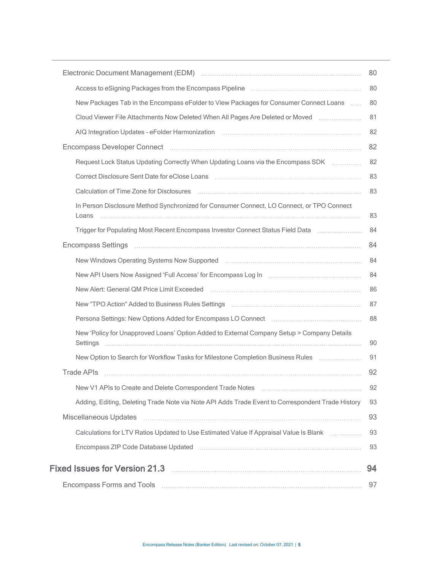|                                                                                                                                                                                                                                | 80 |
|--------------------------------------------------------------------------------------------------------------------------------------------------------------------------------------------------------------------------------|----|
| Access to eSigning Packages from the Encompass Pipeline [1] [1] [1] [1] Access to eSigning Packages from the Encompass Pipeline                                                                                                | 80 |
| New Packages Tab in the Encompass eFolder to View Packages for Consumer Connect Loans                                                                                                                                          | 80 |
| Cloud Viewer File Attachments Now Deleted When All Pages Are Deleted or Moved [11, 11, 11, 11, 11, 11, 11, 11,                                                                                                                 | 81 |
| AIQ Integration Updates - eFolder Harmonization (and according continuum and all of AIQ Integration Updates - eFolder Harmonization (and according to the AIQ Integration Control of AIQ Integration Control of AIQ Integratio | 82 |
|                                                                                                                                                                                                                                | 82 |
| Request Lock Status Updating Correctly When Updating Loans via the Encompass SDK [1111111111111111111111111111                                                                                                                 | 82 |
| Correct Disclosure Sent Date for eClose Loans [11] March 1999 (12] March 2014 (13) March 2014 (13) March 2014                                                                                                                  | 83 |
|                                                                                                                                                                                                                                | 83 |
| In Person Disclosure Method Synchronized for Consumer Connect, LO Connect, or TPO Connect                                                                                                                                      | 83 |
| Trigger for Populating Most Recent Encompass Investor Connect Status Field Data [11, 11, 11, 11, 11, 11, 11, 1                                                                                                                 | 84 |
| Encompass Settings (and accommutation of the contract of the contract of the contract of the contract of the c                                                                                                                 | 84 |
|                                                                                                                                                                                                                                | 84 |
|                                                                                                                                                                                                                                | 84 |
| New Alert: General QM Price Limit Exceeded [11] [11] New Alert: General OM Price Limit Exceeded [11] 11] New Alert: Capacity Alexander Alexander Alexander Alexander Alexander Alexander Alexander Alexander Alexander Alexand | 86 |
|                                                                                                                                                                                                                                | 87 |
|                                                                                                                                                                                                                                | 88 |
| New 'Policy for Unapproved Loans' Option Added to External Company Setup > Company Details<br>Settings                                                                                                                         | 90 |
| New Option to Search for Workflow Tasks for Milestone Completion Business Rules [1000100010001001001001010010                                                                                                                  | 91 |
|                                                                                                                                                                                                                                | 92 |
| New V1 APIs to Create and Delete Correspondent Trade Notes [11, 11] New V1 APIs to Create and Delete Correspondent Trade Notes                                                                                                 | 92 |
| Adding, Editing, Deleting Trade Note via Note API Adds Trade Event to Correspondent Trade History                                                                                                                              | 93 |
| Miscellaneous Updates [11] Miscellaneous Updates [11] Miscellaneous Updates [11] Miscellaneous Updates [11] Misc                                                                                                               | 93 |
| Calculations for LTV Ratios Updated to Use Estimated Value If Appraisal Value Is Blank [11, 11, 11, 11, 11, 11                                                                                                                 | 93 |
| Encompass ZIP Code Database Updated (and accommunication and accompass ZIP Code Database Updated (and accommunication and accompass)                                                                                           | 93 |
| Fixed Issues for Version 21.3 <b>Constitution Constructs</b> Fixed Issues for Version 21.3                                                                                                                                     | 94 |
| Encompass Forms and Tools (1999) (2008) (2008) (2018) (2018) (2018) (2018) (2018) (2018) (2018) (2019) (2019)                                                                                                                  | 97 |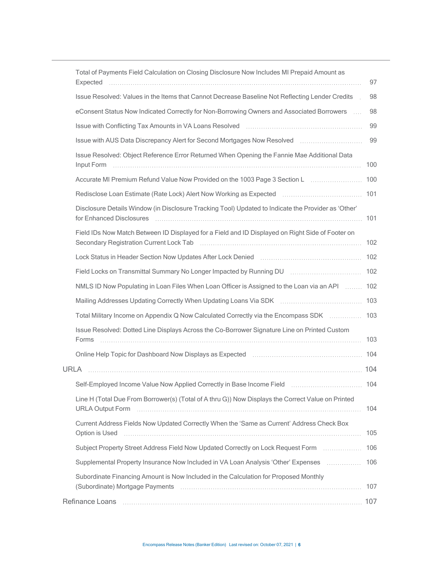|      | Total of Payments Field Calculation on Closing Disclosure Now Includes MI Prepaid Amount as                                                                                                                                         | 97  |
|------|-------------------------------------------------------------------------------------------------------------------------------------------------------------------------------------------------------------------------------------|-----|
|      | Issue Resolved: Values in the Items that Cannot Decrease Baseline Not Reflecting Lender Credits                                                                                                                                     | 98  |
|      | eConsent Status Now Indicated Correctly for Non-Borrowing Owners and Associated Borrowers<br><b>Collection</b>                                                                                                                      | 98  |
|      | Issue with Conflicting Tax Amounts in VA Loans Resolved [11] [11] Issue with Conflicting Tax Amounts in VA Loans Resolved                                                                                                           | 99  |
|      | Issue with AUS Data Discrepancy Alert for Second Mortgages Now Resolved [11, 11, 11, 11, 11, 11, 11, 11, 11, 1                                                                                                                      | 99  |
|      | Issue Resolved: Object Reference Error Returned When Opening the Fannie Mae Additional Data                                                                                                                                         | 100 |
|      | Accurate MI Premium Refund Value Now Provided on the 1003 Page 3 Section Later management                                                                                                                                           | 100 |
|      |                                                                                                                                                                                                                                     | 101 |
|      | Disclosure Details Window (in Disclosure Tracking Tool) Updated to Indicate the Provider as 'Other'                                                                                                                                 | 101 |
|      | Field IDs Now Match Between ID Displayed for a Field and ID Displayed on Right Side of Footer on                                                                                                                                    | 102 |
|      | Lock Status in Header Section Now Updates After Lock Denied [11] [11] Lock Status in Header Section Now Updates After Lock Denied [11] [11] Anna Status In Header Section Now Updates After Lock Denied [11] [12] Anna Status       | 102 |
|      |                                                                                                                                                                                                                                     | 102 |
|      | NMLS ID Now Populating in Loan Files When Loan Officer is Assigned to the Loan via an API  102                                                                                                                                      |     |
|      | Mailing Addresses Updating Correctly When Updating Loans Via SDK [1999] Mailing Addresses Updating Correctly When Updating Loans Via SDK                                                                                            |     |
|      | Total Military Income on Appendix Q Now Calculated Correctly via the Encompass SDK                                                                                                                                                  | 103 |
|      | Issue Resolved: Dotted Line Displays Across the Co-Borrower Signature Line on Printed Custom                                                                                                                                        | 103 |
|      |                                                                                                                                                                                                                                     | 104 |
| URLA |                                                                                                                                                                                                                                     |     |
|      | Self-Employed Income Value Now Applied Correctly in Base Income Field                                                                                                                                                               | 104 |
|      | Line H (Total Due From Borrower(s) (Total of A thru G)) Now Displays the Correct Value on Printed                                                                                                                                   |     |
|      | Current Address Fields Now Updated Correctly When the 'Same as Current' Address Check Box                                                                                                                                           |     |
|      | Subject Property Street Address Field Now Updated Correctly on Lock Request Form [106] Subject Property Street                                                                                                                      |     |
|      | Supplemental Property Insurance Now Included in VA Loan Analysis 'Other' Expenses  106                                                                                                                                              |     |
|      | Subordinate Financing Amount is Now Included in the Calculation for Proposed Monthly                                                                                                                                                |     |
|      | Refinance Loans <b>Process and Contract Community</b> Contract and Contract Community Contract Community Contract Community Contract Community Contract Community Contract Community Contract Community Contract Community Contract | 107 |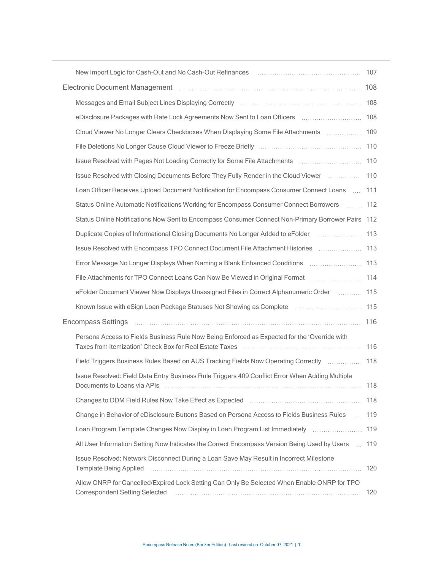| New Import Logic for Cash-Out and No Cash-Out Refinances [11, 1997] New Import Logic for Cash-Out and No Cash-Out Refinances                                                                              |     |
|-----------------------------------------------------------------------------------------------------------------------------------------------------------------------------------------------------------|-----|
|                                                                                                                                                                                                           |     |
|                                                                                                                                                                                                           |     |
| eDisclosure Packages with Rate Lock Agreements Now Sent to Loan Officers [10001111111111111111111111111111111                                                                                             |     |
| Cloud Viewer No Longer Clears Checkboxes When Displaying Some File Attachments  109                                                                                                                       |     |
| File Deletions No Longer Cause Cloud Viewer to Freeze Briefly [110] [110] The Deletions No Longer Cause Cloud Viewer to Freeze Briefly [110] [110] The Deletions No                                       |     |
| Issue Resolved with Pages Not Loading Correctly for Some File Attachments [110] Issue Resolved with Pages Not Loading Correctly for Some File Attachments                                                 |     |
| Issue Resolved with Closing Documents Before They Fully Render in the Cloud Viewer [110] Issue Resolved with Closing Documents Before They Fully Render in the Cloud Viewer                               |     |
| Loan Officer Receives Upload Document Notification for Encompass Consumer Connect Loans  111                                                                                                              |     |
| Status Online Automatic Notifications Working for Encompass Consumer Connect Borrowers  112                                                                                                               |     |
| Status Online Notifications Now Sent to Encompass Consumer Connect Non-Primary Borrower Pairs 112                                                                                                         |     |
| Duplicate Copies of Informational Closing Documents No Longer Added to eFolder [113] [113]                                                                                                                |     |
| Issue Resolved with Encompass TPO Connect Document File Attachment Histories [113] ISSue Resolved with Encompass TPO Connect Document File Attachment Histories [113]                                     |     |
| Error Message No Longer Displays When Naming a Blank Enhanced Conditions [113] [13]                                                                                                                       |     |
| File Attachments for TPO Connect Loans Can Now Be Viewed in Original Format [114] [114] File Attachments for TPO Connect Loans Can Now Be Viewed in Original Format                                       |     |
| eFolder Document Viewer Now Displays Unassigned Files in Correct Alphanumeric Order [15] 115                                                                                                              |     |
| Known Issue with eSign Loan Package Statuses Not Showing as Complete [11, 115] Now 115                                                                                                                    |     |
| Encompass Settings <b>Election Constructs</b> 116                                                                                                                                                         |     |
| Persona Access to Fields Business Rule Now Being Enforced as Expected for the 'Override with<br>Taxes from Itemization' Check Box for Real Estate Taxes [11, 116] Taxes [116] Taxes https://www.film.com/ |     |
| Field Triggers Business Rules Based on AUS Tracking Fields Now Operating Correctly  118                                                                                                                   |     |
| Issue Resolved: Field Data Entry Business Rule Triggers 409 Conflict Error When Adding Multiple<br>Documents to Loans via APIs <b>contract to the Contract APIS</b> 118                                   |     |
| Changes to DDM Field Rules Now Take Effect as Expected <b>[18]</b> Changes to DDM Field Rules Now Take Effect as Expected <b>[18]</b>                                                                     |     |
| Change in Behavior of eDisclosure Buttons Based on Persona Access to Fields Business Rules  119                                                                                                           |     |
|                                                                                                                                                                                                           |     |
| All User Information Setting Now Indicates the Correct Encompass Version Being Used by Users  119                                                                                                         |     |
| Issue Resolved: Network Disconnect During a Loan Save May Result in Incorrect Milestone                                                                                                                   |     |
| Allow ONRP for Cancelled/Expired Lock Setting Can Only Be Selected When Enable ONRP for TPO                                                                                                               | 120 |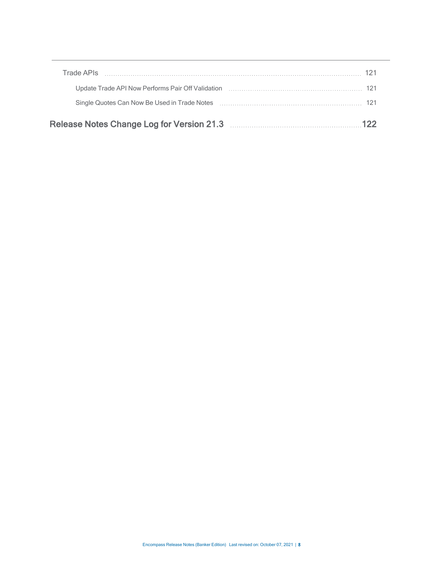| Release Notes Change Log for Version 21.3 <b>Constant Change 1:</b> Release Notes Change Log for Version 21.3  |  |
|----------------------------------------------------------------------------------------------------------------|--|
| Single Quotes Can Now Be Used in Trade Notes [11] Martin Martin Martin Martin Martin Martin Martin Martin Mart |  |
| Update Trade API Now Performs Pair Off Validation [1] [1] Update Trade API Now Performs Pair Off Validation    |  |
| Trade APIs                                                                                                     |  |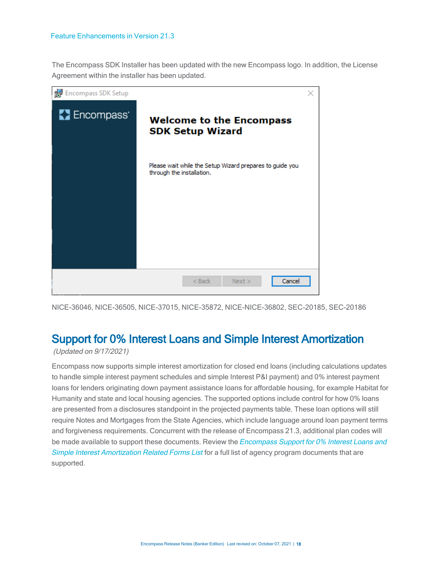The Encompass SDK Installer has been updated with the new Encompass logo. In addition, the License Agreement within the installer has been updated.



NICE-36046, NICE-36505, NICE-37015, NICE-35872, NICE-NICE-36802, SEC-20185, SEC-20186

### <span id="page-8-0"></span>Support for 0% Interest Loans and Simple Interest Amortization

(Updated on 9/17/2021)

Encompass now supports simple interest amortization for closed end loans (including calculations updates to handle simple interest payment schedules and simple Interest P&I payment) and 0% interest payment loans for lenders originating down payment assistance loans for affordable housing, for example Habitat for Humanity and state and local housing agencies. The supported options include control for how 0% loans are presented from a disclosures standpoint in the projected payments table. These loan options will still require Notes and Mortgages from the State Agencies, which include language around loan payment terms and forgiveness requirements. Concurrent with the release of Encompass 21.3, additional plan codes will be made available to support these documents. Review the *[Encompass](https://resourcecenter.elliemae.com/resourcecenter/knowledgebasearticle.aspx?n=39993) Support for 0% Interest Loans and* Simple Interest [Amortization](https://resourcecenter.elliemae.com/resourcecenter/knowledgebasearticle.aspx?n=39993) Related Forms List for a full list of agency program documents that are supported.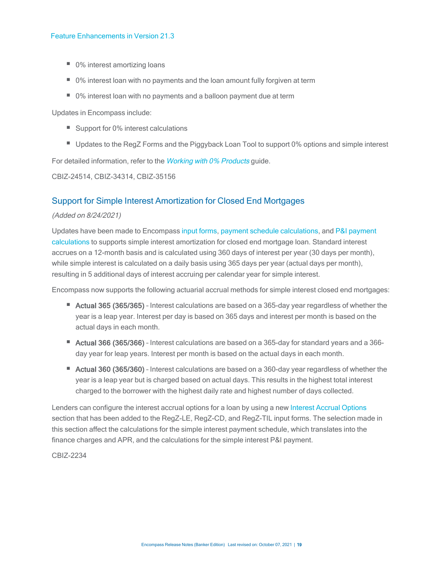- $\Box$  0% interest amortizing loans
- 0% interest loan with no payments and the loan amount fully forgiven at term
- 0% interest loan with no payments and a balloon payment due at term

Updates in Encompass include:

- Support for 0% interest calculations
- Updates to the RegZ Forms and the Piggyback Loan Tool to support 0% options and simple interest

For detailed information, refer to the [Working](https://resourcecenter.elliemae.com/resourcecenter/knowledgebasearticle.aspx?n=000039935) with 0% Products quide.

CBIZ-24514, CBIZ-34314, CBIZ-35156

### <span id="page-9-0"></span>Support for Simple Interest Amortization for Closed End Mortgages

### (Added on 8/24/2021)

Updates have been made to Encompass [input forms](#page-10-1), [payment schedule calculations,](#page-11-1) and [P&I payment](#page-13-1) [calculations](#page-13-1) to supports simple interest amortization for closed end mortgage loan. Standard interest accrues on a 12-month basis and is calculated using 360 days of interest per year (30 days per month), while simple interest is calculated on a daily basis using 365 days per year (actual days per month), resulting in 5 additional days of interest accruing per calendar year for simple interest.

Encompass now supports the following actuarial accrual methods for simple interest closed end mortgages:

- Actual 365 (365/365) Interest calculations are based on a 365-day year regardless of whether the year is a leap year. Interest per day is based on 365 days and interest per month is based on the actual days in each month.
- Actual 366 (365/366) Interest calculations are based on a 365-day for standard years and a 366day year for leap years. Interest per month is based on the actual days in each month.
- Actual 360 (365/360) Interest calculations are based on a 360-day year regardless of whether the year is a leap year but is charged based on actual days. This results in the highest total interest charged to the borrower with the highest daily rate and highest number of days collected.

Lenders can configure the interest accrual options for a loan by using a new [Interest Accrual Options](#page-10-1) section that has been added to the RegZ-LE, RegZ-CD, and RegZ-TIL input forms. The selection made in this section affect the calculations for the simple interest payment schedule, which translates into the finance charges and APR, and the calculations for the simple interest P&I payment.

CBIZ-2234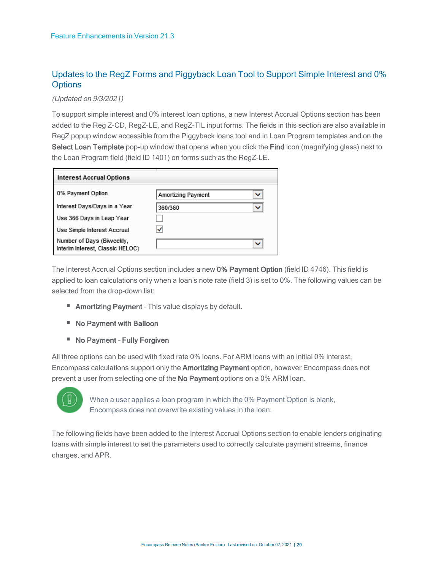### <span id="page-10-0"></span>Updates to the RegZ Forms and Piggyback Loan Tool to Support Simple Interest and 0% **Options**

<span id="page-10-1"></span>(Updated on 9/3/2021)

To support simple interest and 0% interest loan options, a new Interest Accrual Options section has been added to the Reg Z-CD, RegZ-LE, and RegZ-TIL input forms. The fields in this section are also available in RegZ popup window accessible from the Piggyback loans tool and in Loan Program templates and on the Select Loan Template pop-up window that opens when you click the Find icon (magnifying glass) next to the Loan Program field (field ID 1401) on forms such as the RegZ-LE.

| <b>Interest Accrual Options</b>                               |                    |              |
|---------------------------------------------------------------|--------------------|--------------|
| 0% Payment Option                                             | Amortizing Payment | $\check{ }$  |
| Interest Days/Days in a Year                                  | 360/360            | $\check{ }$  |
| Use 366 Days in Leap Year                                     |                    |              |
| Use Simple Interest Accrual                                   |                    |              |
| Number of Days (Biweekly,<br>Interim Interest, Classic HELOC) |                    | $\checkmark$ |

The Interest Accrual Options section includes a new 0% Payment Option (field ID 4746). This field is applied to loan calculations only when a loan's note rate (field 3) is set to 0%. The following values can be selected from the drop-down list:

- **E** Amortizing Payment This value displays by default.
- No Payment with Balloon
- No Payment Fully Forgiven

All three options can be used with fixed rate 0% loans. For ARM loans with an initial 0% interest, Encompass calculations support only the Amortizing Payment option, however Encompass does not prevent a user from selecting one of the No Payment options on a 0% ARM loan.



When a user applies a loan program in which the 0% Payment Option is blank, Encompass does not overwrite existing values in the loan.

The following fields have been added to the Interest Accrual Options section to enable lenders originating loans with simple interest to set the parameters used to correctly calculate payment streams, finance charges, and APR.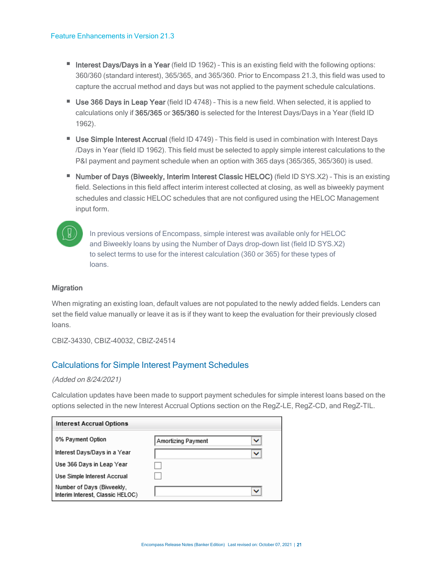- Interest Days/Days in a Year (field ID 1962) This is an existing field with the following options: 360/360 (standard interest), 365/365, and 365/360. Prior to Encompass 21.3, this field was used to capture the accrual method and days but was not applied to the payment schedule calculations.
- Use 366 Days in Leap Year (field ID 4748) This is a new field. When selected, it is applied to calculations only if 365/365 or 365/360 is selected for the Interest Days/Days in a Year (field ID 1962).
- Use Simple Interest Accrual (field ID 4749) This field is used in combination with Interest Days /Days in Year (field ID 1962). This field must be selected to apply simple interest calculations to the P&I payment and payment schedule when an option with 365 days (365/365, 365/360) is used.
- Number of Days (Biweekly, Interim Interest Classic HELOC) (field ID SYS.X2) This is an existing field. Selections in this field affect interim interest collected at closing, as well as biweekly payment schedules and classic HELOC schedules that are not configured using the HELOC Management input form.



In previous versions of Encompass, simple interest was available only for HELOC and Biweekly loans by using the Number of Days drop-down list (field ID SYS.X2) to select terms to use for the interest calculation (360 or 365) for these types of loans.

### Migration

When migrating an existing loan, default values are not populated to the newly added fields. Lenders can set the field value manually or leave it as is if they want to keep the evaluation for their previously closed loans.

CBIZ-34330, CBIZ-40032, CBIZ-24514

### <span id="page-11-0"></span>Calculations for Simple Interest Payment Schedules

<span id="page-11-1"></span>(Added on 8/24/2021)

Calculation updates have been made to support payment schedules for simple interest loans based on the options selected in the new Interest Accrual Options section on the RegZ-LE, RegZ-CD, and RegZ-TIL.

| <b>Interest Accrual Options</b>                               |                    |              |  |
|---------------------------------------------------------------|--------------------|--------------|--|
| 0% Payment Option                                             | Amortizing Payment | v            |  |
| Interest Days/Days in a Year                                  |                    | $\checkmark$ |  |
| Use 366 Days in Leap Year                                     |                    |              |  |
| Use Simple Interest Accrual                                   |                    |              |  |
| Number of Days (Biweekly,<br>Interim Interest, Classic HELOC) |                    | $\checkmark$ |  |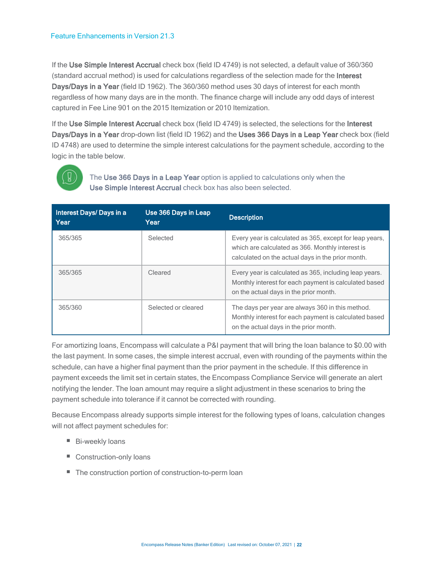If the Use Simple Interest Accrual check box (field ID 4749) is not selected, a default value of 360/360 (standard accrual method) is used for calculations regardless of the selection made for the Interest Days/Days in a Year (field ID 1962). The 360/360 method uses 30 days of interest for each month regardless of how many days are in the month. The finance charge will include any odd days of interest captured in Fee Line 901 on the 2015 Itemization or 2010 Itemization.

If the Use Simple Interest Accrual check box (field ID 4749) is selected, the selections for the Interest Days/Days in a Year drop-down list (field ID 1962) and the Uses 366 Days in a Leap Year check box (field ID 4748) are used to determine the simple interest calculations for the payment schedule, according to the logic in the table below.



The Use 366 Days in a Leap Year option is applied to calculations only when the Use Simple Interest Accrual check box has also been selected.

| Interest Days/ Days in a<br>Year | Use 366 Days in Leap<br>Year | <b>Description</b>                                                                                                                                               |
|----------------------------------|------------------------------|------------------------------------------------------------------------------------------------------------------------------------------------------------------|
| 365/365                          | Selected                     | Every year is calculated as 365, except for leap years,<br>which are calculated as 366. Monthly interest is<br>calculated on the actual days in the prior month. |
| 365/365                          | Cleared                      | Every year is calculated as 365, including leap years.<br>Monthly interest for each payment is calculated based<br>on the actual days in the prior month.        |
| 365/360                          | Selected or cleared          | The days per year are always 360 in this method.<br>Monthly interest for each payment is calculated based<br>on the actual days in the prior month.              |

For amortizing loans, Encompass will calculate a P&I payment that will bring the loan balance to \$0.00 with the last payment. In some cases, the simple interest accrual, even with rounding of the payments within the schedule, can have a higher final payment than the prior payment in the schedule. If this difference in payment exceeds the limit set in certain states, the Encompass Compliance Service will generate an alert notifying the lender. The loan amount may require a slight adjustment in these scenarios to bring the payment schedule into tolerance if it cannot be corrected with rounding.

Because Encompass already supports simple interest for the following types of loans, calculation changes will not affect payment schedules for:

- Bi-weekly loans
- Construction-only loans
- The construction portion of construction-to-perm loan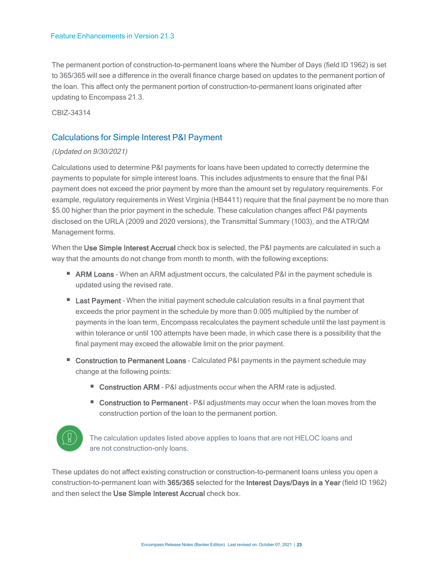The permanent portion of construction-to-permanent loans where the Number of Days (field ID 1962) is set to 365/365 will see a difference in the overall finance charge based on updates to the permanent portion of the loan. This affect only the permanent portion of construction-to-permanent loans originated after updating to Encompass 21.3.

CBIZ-34314

### <span id="page-13-0"></span>Calculations for Simple Interest P&I Payment

### <span id="page-13-1"></span>(Updated on 9/30/2021)

Calculations used to determine P&I payments for loans have been updated to correctly determine the payments to populate for simple interest loans. This includes adjustments to ensure that the final P&I payment does not exceed the prior payment by more than the amount set by regulatory requirements. For example, regulatory requirements in West Virginia (HB4411) require that the final payment be no more than \$5.00 higher than the prior payment in the schedule. These calculation changes affect P&I payments disclosed on the URLA (2009 and 2020 versions), the Transmittal Summary (1003), and the ATR/QM Management forms.

When the Use Simple Interest Accrual check box is selected, the P&I payments are calculated in such a way that the amounts do not change from month to month, with the following exceptions:

- **ARM Loans** When an ARM adjustment occurs, the calculated P&I in the payment schedule is updated using the revised rate.
- **E** Last Payment When the initial payment schedule calculation results in a final payment that exceeds the prior payment in the schedule by more than 0.005 multiplied by the number of payments in the loan term, Encompass recalculates the payment schedule until the last payment is within tolerance or until 100 attempts have been made, in which case there is a possibility that the final payment may exceed the allowable limit on the prior payment.
- Construction to Permanent Loans Calculated P&I payments in the payment schedule may change at the following points:
	- Construction ARM P&I adjustments occur when the ARM rate is adjusted.
	- Construction to Permanent P&I adjustments may occur when the loan moves from the construction portion of the loan to the permanent portion.



The calculation updates listed above applies to loans that are not HELOC loans and are not construction-only loans.

These updates do not affect existing construction or construction-to-permanent loans unless you open a construction-to-permanent loan with 365/365 selected for the Interest Days/Days in a Year (field ID 1962) and then select the Use Simple Interest Accrual check box.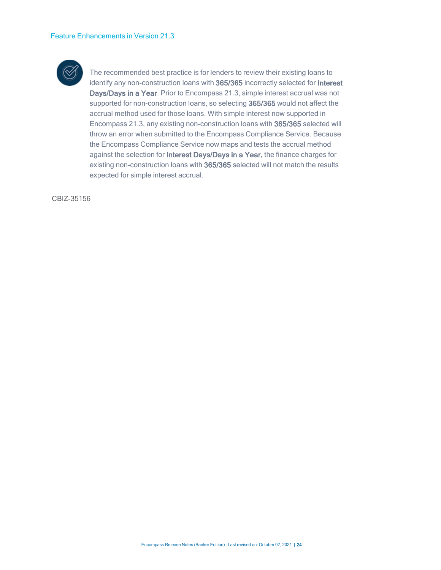

The recommended best practice is for lenders to review their existing loans to identify any non-construction loans with 365/365 incorrectly selected for Interest Days/Days in a Year. Prior to Encompass 21.3, simple interest accrual was not supported for non-construction loans, so selecting 365/365 would not affect the accrual method used for those loans. With simple interest now supported in Encompass 21.3, any existing non-construction loans with 365/365 selected will throw an error when submitted to the Encompass Compliance Service. Because the Encompass Compliance Service now maps and tests the accrual method against the selection for Interest Days/Days in a Year, the finance charges for existing non-construction loans with 365/365 selected will not match the results expected for simple interest accrual.

CBIZ-35156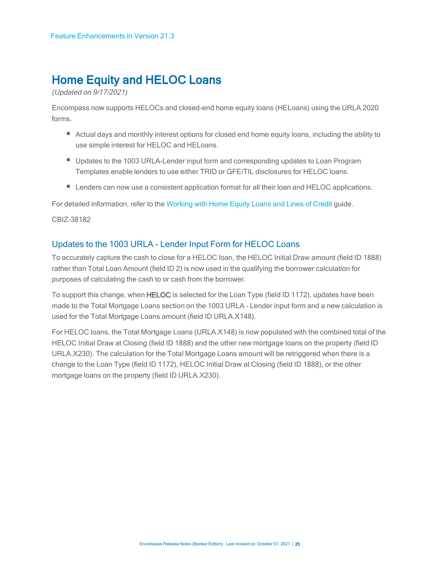### <span id="page-15-0"></span>Home Equity and HELOC Loans

(Updated on 9/17/2021)

Encompass now supports HELOCs and closed-end home equity loans (HELoans) using the URLA 2020 forms.

- Actual days and monthly interest options for closed end home equity loans, including the ability to use simple interest for HELOC and HELoans.
- Updates to the 1003 URLA-Lender input form and corresponding updates to Loan Program Templates enable lenders to use either TRID or GFE/TIL disclosures for HELOC loans.
- Lenders can now use a consistent application format for all their loan and HELOC applications.

For detailed information, refer to the [Working](https://resourcecenter.elliemae.com/resourcecenter/knowledgebasearticle.aspx?n=000035731) with Home Equity Loans and Lines of Credit guide.

CBIZ-38182

### <span id="page-15-1"></span>Updates to the 1003 URLA - Lender Input Form for HELOC Loans

To accurately capture the cash to close for a HELOC loan, the HELOC Initial Draw amount (field ID 1888) rather than Total Loan Amount (field ID 2) is now used in the qualifying the borrower calculation for purposes of calculating the cash to or cash from the borrower.

To support this change, when HELOC is selected for the Loan Type (field ID 1172), updates have been made to the Total Mortgage Loans section on the 1003 URLA – Lender input form and a new calculation is used for the Total Mortgage Loans amount (field ID URLA.X148).

For HELOC loans, the Total Mortgage Loans (URLA.X148) is now populated with the combined total of the HELOC Initial Draw at Closing (field ID 1888) and the other new mortgage loans on the property (field ID URLA.X230). The calculation for the Total Mortgage Loans amount will be retriggered when there is a change to the Loan Type (field ID 1172), HELOC Initial Draw at Closing (field ID 1888), or the other mortgage loans on the property (field ID URLA.X230).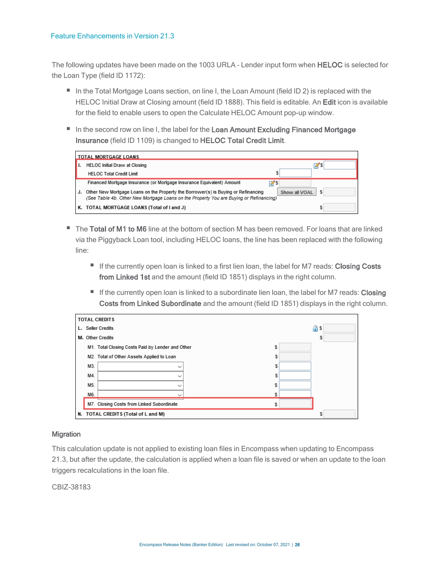The following updates have been made on the 1003 URLA – Lender input form when HELOC is selected for the Loan Type (field ID 1172):

- In the Total Mortgage Loans section, on line I, the Loan Amount (field ID 2) is replaced with the HELOC Initial Draw at Closing amount (field ID 1888). This field is editable. An Edit icon is available for the field to enable users to open the Calculate HELOC Amount pop-up window.
- In the second row on line I, the label for the Loan Amount Excluding Financed Mortgage Insurance (field ID 1109) is changed to HELOC Total Credit Limit.

|    | <b>TOTAL MORTGAGE LOANS</b>                                                                                                                                                 |               |  |
|----|-----------------------------------------------------------------------------------------------------------------------------------------------------------------------------|---------------|--|
| н. | <b>HELOC Initial Draw at Closing</b>                                                                                                                                        | 72 S          |  |
|    | <b>HELOC Total Credit Limit</b>                                                                                                                                             |               |  |
|    | 72 S<br>Financed Mortgage Insurance (or Mortgage Insurance Equivalent) Amount                                                                                               |               |  |
| J. | Other New Mortgage Loans on the Property the Borrower(s) is Buying or Refinancing<br>(See Table 4b. Other New Mortgage Loans on the Property You are Buying or Refinancing) | Show all VOAL |  |
|    | K. TOTAL MORTGAGE LOANS (Total of I and J)                                                                                                                                  |               |  |

- The Total of M1 to M6 line at the bottom of section M has been removed. For loans that are linked via the Piggyback Loan tool, including HELOC loans, the line has been replaced with the following line:
	- If the currently open loan is linked to a first lien loan, the label for M7 reads: Closing Costs from Linked 1st and the amount (field ID 1851) displays in the right column.
	- If the currently open loan is linked to a subordinate lien loan, the label for M7 reads: Closing Costs from Linked Subordinate and the amount (field ID 1851) displays in the right column.

| <b>TOTAL CREDITS</b> |                                                  |   |  |    |
|----------------------|--------------------------------------------------|---|--|----|
|                      | L. Seller Credits                                |   |  | as |
|                      | M. Other Credits                                 |   |  |    |
|                      | M1. Total Closing Costs Paid by Lender and Other | s |  |    |
|                      | M2. Total of Other Assets Applied to Loan        |   |  |    |
| M3.                  |                                                  |   |  |    |
| M4.                  |                                                  |   |  |    |
| M5.                  | ر،                                               |   |  |    |
| M6.                  |                                                  |   |  |    |
|                      | M7. Closing Costs from Linked Subordinate        |   |  |    |
|                      | N. TOTAL CREDITS (Total of L and M)              |   |  |    |

### **Migration**

This calculation update is not applied to existing loan files in Encompass when updating to Encompass 21.3, but after the update, the calculation is applied when a loan file is saved or when an update to the loan triggers recalculations in the loan file.

CBIZ-38183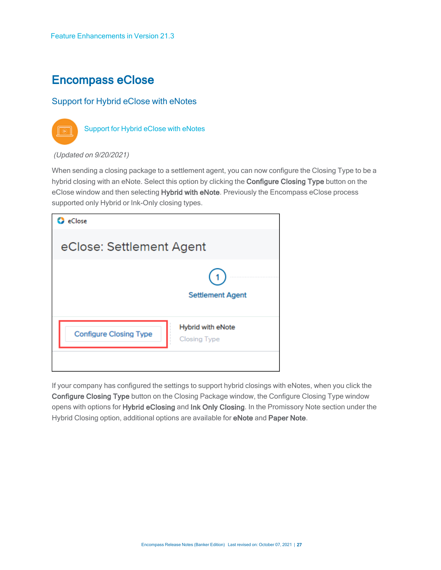### <span id="page-17-0"></span>Encompass eClose

### <span id="page-17-1"></span>Support for Hybrid eClose with eNotes



[Support for Hybrid eClose with eNotes](https://vimeo.com/594938591)

### (Updated on 9/20/2021)

When sending a closing package to a settlement agent, you can now configure the Closing Type to be a hybrid closing with an eNote. Select this option by clicking the Configure Closing Type button on the eClose window and then selecting Hybrid with eNote. Previously the Encompass eClose process supported only Hybrid or Ink-Only closing types.

| eClose                        |                                          |  |
|-------------------------------|------------------------------------------|--|
| eClose: Settlement Agent      |                                          |  |
|                               | <b>Settlement Agent</b>                  |  |
| <b>Configure Closing Type</b> | Hybrid with eNote<br><b>Closing Type</b> |  |

If your company has configured the settings to support hybrid closings with eNotes, when you click the Configure Closing Type button on the Closing Package window, the Configure Closing Type window opens with options for Hybrid eClosing and Ink Only Closing. In the Promissory Note section under the Hybrid Closing option, additional options are available for eNote and Paper Note.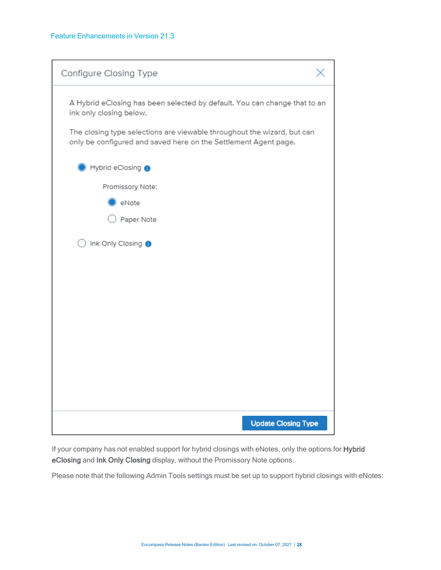| Configure Closing Type                                                                                                                     |
|--------------------------------------------------------------------------------------------------------------------------------------------|
| A Hybrid eClosing has been selected by default. You can change that to an<br>ink only closing below.                                       |
| The closing type selections are viewable throughout the wizard, but can<br>only be configured and saved here on the Settlement Agent page. |
| Hybrid eClosing @                                                                                                                          |
| Promissory Note:                                                                                                                           |
| eNote                                                                                                                                      |
| Paper Note                                                                                                                                 |
| Ink Only Closing @                                                                                                                         |
|                                                                                                                                            |
| <b>Update Closing Type</b>                                                                                                                 |

If your company has not enabled support for hybrid closings with eNotes, only the options for Hybrid eClosing and Ink Only Closing display, without the Promissory Note options.

Please note that the following Admin Tools settings must be set up to support hybrid closings with eNotes: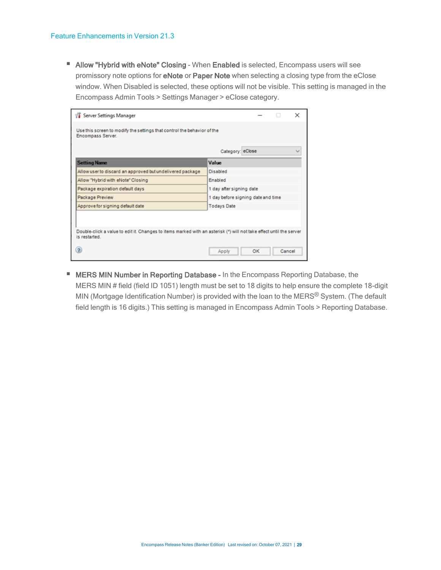■ Allow "Hybrid with eNote" Closing - When Enabled is selected, Encompass users will see promissory note options for eNote or Paper Note when selecting a closing type from the eClose window. When Disabled is selected, these options will not be visible. This setting is managed in the Encompass Admin Tools > Settings Manager > eClose category.

| <b>T</b> Server Settings Manager                                                             |                                    |  | × |
|----------------------------------------------------------------------------------------------|------------------------------------|--|---|
| Use this screen to modify the settings that control the behavior of the<br>Encompass Server. |                                    |  |   |
|                                                                                              | Category: eClose                   |  |   |
| <b>Setting Name</b>                                                                          | Value                              |  |   |
| Allow user to discard an approved but undelivered package                                    | Disabled                           |  |   |
| Allow "Hybrid with eNote" Closing                                                            | Enabled                            |  |   |
| Package expiration default days                                                              | 1 day after signing date           |  |   |
| <b>Package Preview</b>                                                                       | 1 day before signing date and time |  |   |
| Approve for signing default date                                                             | <b>Todays Date</b>                 |  |   |

**n MERS MIN Number in Reporting Database - In the Encompass Reporting Database, the** MERS MIN # field (field ID 1051) length must be set to 18 digits to help ensure the complete 18-digit MIN (Mortgage Identification Number) is provided with the loan to the MERS<sup>®</sup> System. (The default field length is 16 digits.) This setting is managed in Encompass Admin Tools > Reporting Database.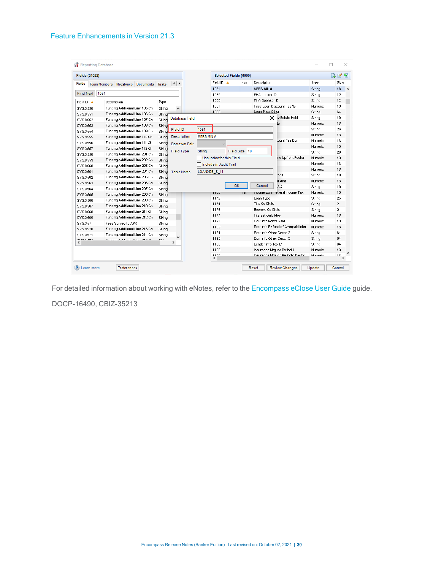| <b>Fields (21022)</b>                                                        |                                                                                       |                                                  |                                |                                  |                   |                       |                                           |                      |                | Selected Fields (6000) |                            |                                    |                 | r). | $\mathbb{Z}$                    |
|------------------------------------------------------------------------------|---------------------------------------------------------------------------------------|--------------------------------------------------|--------------------------------|----------------------------------|-------------------|-----------------------|-------------------------------------------|----------------------|----------------|------------------------|----------------------------|------------------------------------|-----------------|-----|---------------------------------|
| <b>Fields</b>                                                                | <b>Team Members   Milestones</b>                                                      |                                                  | Documents Tasks                |                                  | $\leftarrow$      |                       |                                           | Field ID $\triangle$ |                | Pair                   | Description                |                                    | Type            |     | Size                            |
|                                                                              |                                                                                       |                                                  |                                |                                  |                   |                       |                                           | 1051                 |                |                        | MERS MIN #                 |                                    | String          |     | 18                              |
| 1051<br><b>Find Next</b>                                                     |                                                                                       |                                                  |                                |                                  |                   |                       | 1059                                      |                      |                | FHA Lender ID          |                            | String                             |                 | 12  |                                 |
| Type<br>Field ID $\triangle$<br>Description                                  |                                                                                       |                                                  |                                |                                  |                   | 1060                  |                                           |                      | FHA Sponsor ID |                        | String                     |                                    | 12              |     |                                 |
| SYS.X550                                                                     |                                                                                       | Funding Additional Line 105 Ch                   |                                | String                           | $\land$           |                       |                                           | 1061                 |                |                        | Fees Loan Discount Fee %   |                                    | Numeric         |     | 13                              |
| SYS.X551                                                                     |                                                                                       |                                                  | Funding Additional Line 106 Ch | String                           |                   |                       |                                           | 1063                 |                |                        | Loan Type Other            |                                    | String          |     | 64                              |
| SYS.X552                                                                     |                                                                                       |                                                  |                                | String                           |                   | <b>Database Field</b> |                                           |                      |                |                        |                            | $\times$ ty Estate Held            | String          |     | 10                              |
| Funding Additional Line 107 Ch<br>Funding Additional Line 108 Ch<br>SYS.X553 |                                                                                       |                                                  |                                |                                  |                   |                       |                                           |                      |                |                        | ts                         | Numeric                            |                 | 13  |                                 |
| String<br><b>Field ID</b><br>Funding Additional Line 109 Ch<br>SYS.X554      |                                                                                       |                                                  |                                | 1051                             |                   |                       |                                           |                      |                | String                 |                            | 26                                 |                 |     |                                 |
| SYS.X555                                                                     | String<br><b>MERS MIN#</b><br>Description<br>Funding Additional Line 110 Ch<br>String |                                                  |                                |                                  |                   | Numeric               |                                           | 13                   |                |                        |                            |                                    |                 |     |                                 |
| Funding Additional Line 111 Ch<br>SYS.X556                                   |                                                                                       |                                                  |                                |                                  |                   |                       |                                           |                      |                |                        |                            | count Fee Borr                     | Numeric         |     | 13                              |
| SYS.X557                                                                     | String<br>Funding Additional Line 112 Ch                                              |                                                  |                                | String                           |                   | <b>Borrower Pair</b>  |                                           |                      |                |                        |                            |                                    | Numeric         |     | 13                              |
| SYS.X558                                                                     |                                                                                       |                                                  |                                | String                           | <b>Field Type</b> |                       | <b>Field Size</b><br> 18<br><b>String</b> |                      |                |                        |                            | String                             |                 | 26  |                                 |
| Funding Additional Line 201 Ch<br>SYS.X559<br>Funding Additional Line 202 Ch |                                                                                       |                                                  | String                         |                                  |                   |                       | Use index for this Field                  |                      |                |                        | Ins Upfront Factor         | Numeric                            |                 | 13  |                                 |
| SYS.X560                                                                     |                                                                                       |                                                  | Funding Additional Line 203 Ch | Include in Audit Trail<br>String |                   |                       |                                           |                      |                |                        |                            | Numeric                            |                 | 13  |                                 |
| <b>SYS.X561</b>                                                              |                                                                                       |                                                  | Funding Additional Line 204 Ch | String                           | <b>Table Name</b> |                       | LOANXDB S 11                              |                      |                |                        | Numeric                    |                                    | 13              |     |                                 |
| SYS.X562                                                                     |                                                                                       |                                                  | Funding Additional Line 205 Ch | String                           |                   |                       |                                           |                      |                |                        |                            | tode                               | String          |     | 10                              |
| SYS.X563                                                                     |                                                                                       |                                                  | Funding Additional Line 206 Ch | String                           |                   |                       |                                           |                      |                |                        |                            | d Amt                              | Numeric         |     | 13                              |
| SYS X564                                                                     |                                                                                       |                                                  | Funding Additional Line 207 Ch | String                           |                   |                       |                                           |                      | OK             |                        | Cancel                     | $s$ #                              | String          |     | 10                              |
| SYS.X565                                                                     |                                                                                       |                                                  | Funding Additional Line 208 Ch | String                           |                   |                       |                                           | <b>TTOO</b>          |                | ISL.                   |                            | mcome porr rederal income Tax      | Numeric         |     | 13                              |
| SYS.X566                                                                     |                                                                                       |                                                  | Funding Additional Line 209 Ch | String                           |                   |                       |                                           | 1172                 |                |                        | Loan Type                  |                                    | String          |     | 25                              |
| SYS.X567                                                                     |                                                                                       |                                                  | Funding Additional Line 210 Ch | String                           |                   |                       |                                           | 1174                 |                |                        | Title Co State             |                                    | String          |     | $\overline{2}$                  |
| SYS X568                                                                     |                                                                                       | Funding Additional Line 211 Ch                   |                                | String                           |                   |                       |                                           | 1175                 |                |                        | Escrow Co State            |                                    | String          |     | $\overline{2}$                  |
| SYS.X569                                                                     |                                                                                       |                                                  | Funding Additional Line 212 Ch | String                           |                   |                       |                                           | 1177                 |                |                        | Interest Only Mos          |                                    | Numeric         |     | 13                              |
| SYS.X57                                                                      |                                                                                       | Fees Survey to APR                               |                                | String                           |                   |                       |                                           | 1191                 |                |                        | Borr Info Points Paid      |                                    | Numeric         |     | 13                              |
| SYS.X570                                                                     |                                                                                       |                                                  | Funding Additional Line 213 Ch | String                           |                   |                       |                                           | 1192                 |                |                        |                            | Borr Info Refund of Overpaid Inter | Numeric         |     | 13                              |
| <b>SYS.X571</b>                                                              |                                                                                       |                                                  | Funding Additional Line 214 Ch | Strina                           |                   |                       |                                           | 1194                 |                |                        | Borr Info Other Descr 2    |                                    | String          |     | 64                              |
| man serra                                                                    |                                                                                       | Proposition in additional to the contract of the |                                | $\sim$                           |                   |                       |                                           | 1195                 |                |                        | Borr Info Other Descr 3    |                                    | String          |     | 64                              |
| ⋖                                                                            |                                                                                       |                                                  |                                |                                  | $\rightarrow$     |                       |                                           | 1196                 |                |                        | Lender Info Tax ID         |                                    | String          |     | 64                              |
|                                                                              |                                                                                       |                                                  |                                |                                  |                   |                       |                                           | 1198                 |                |                        | Insurance Mtg Ins Period 1 |                                    | Numeric         |     | 13                              |
|                                                                              |                                                                                       |                                                  |                                |                                  |                   |                       |                                           | 1100<br>⋖            |                |                        |                            | Incurance Mta Inc Deriodic Fector  | <b>Museumin</b> |     | 4 <sub>2</sub><br>$\rightarrow$ |

For detailed information about working with eNotes, refer to the [Encompass eClose User Guide](https://resourcecenter.elliemae.com/resourcecenter/knowledgebasearticle.aspx?n=39469) guide.

DOCP-16490, CBIZ-35213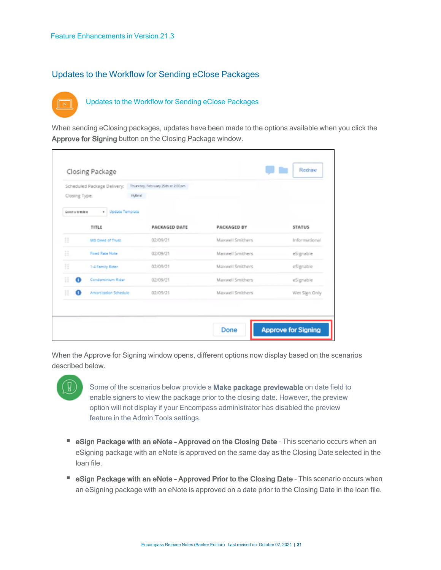### <span id="page-21-0"></span>Updates to the Workflow for Sending eClose Packages



[Updates to the Workflow for Sending eClose Packages](https://vimeo.com/595453210)

When sending eClosing packages, updates have been made to the options available when you click the Approve for Signing button on the Closing Package window.

|   | Closing Type:       | Scheduled Package Delivery:<br>Hydrod | Thursday, February 25th et 200pm |                  |               |
|---|---------------------|---------------------------------------|----------------------------------|------------------|---------------|
|   | Goldot a la mola le | · Update Template                     |                                  |                  |               |
|   |                     | TITLE                                 | <b>PACKAGED DATE</b>             | PACKAGED BY      | <b>STATUS</b> |
| B |                     | <b>MD Deed of Trust</b>               | 02/09/21                         | Maxwell Smithers | Informational |
| B |                     | First Rate Note                       | 02/09/21                         | Maxwell Smithers | eSignable     |
| 挂 |                     | 1-4 Family Rider                      | 02/09/21                         | Maxwell Smithers | eSignable     |
| Ħ | ഒ                   | Condominium Rider                     | 02/09/21                         | Maxwell Smithers | eSignable     |
| н | o                   | Amortization Schedule                 | 02/09/21                         | Maxwell Smithers | Wet Sign Only |
|   |                     |                                       |                                  |                  |               |

When the Approve for Signing window opens, different options now display based on the scenarios described below.



Some of the scenarios below provide a Make package previewable on date field to enable signers to view the package prior to the closing date. However, the preview option will not display if your Encompass administrator has disabled the preview feature in the Admin Tools settings.

- eSign Package with an eNote Approved on the Closing Date This scenario occurs when an eSigning package with an eNote is approved on the same day as the Closing Date selected in the loan file.
- eSign Package with an eNote Approved Prior to the Closing Date This scenario occurs when an eSigning package with an eNote is approved on a date prior to the Closing Date in the loan file.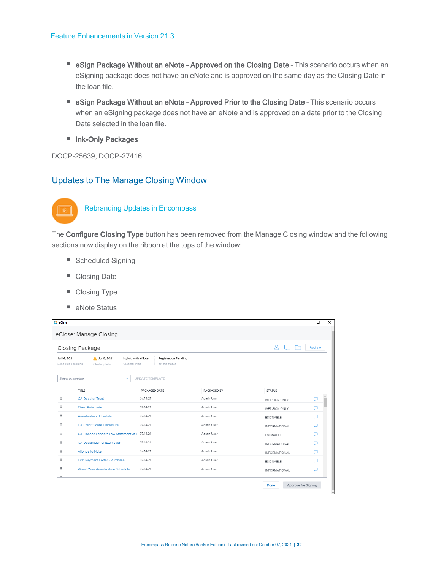- eSign Package Without an eNote Approved on the Closing Date This scenario occurs when an eSigning package does not have an eNote and is approved on the same day as the Closing Date in the loan file.
- eSign Package Without an eNote Approved Prior to the Closing Date This scenario occurs when an eSigning package does not have an eNote and is approved on a date prior to the Closing Date selected in the loan file.
- **n** Ink-Only Packages

DOCP-25639, DOCP-27416

### <span id="page-22-0"></span>Updates to The Manage Closing Window



[Rebranding Updates in Encompass](https://vimeo.com/612997511)

The Configure Closing Type button has been removed from the Manage Closing window and the following sections now display on the ribbon at the tops of the window:

- Scheduled Signing
- Closing Date
- Closing Type
- $\blacksquare$  eNote Status

| C eClose                          |                                                |                                                                                  |             |                             | $\Box$<br>$\times$                 |
|-----------------------------------|------------------------------------------------|----------------------------------------------------------------------------------|-------------|-----------------------------|------------------------------------|
|                                   | eClose: Manage Closing                         |                                                                                  |             |                             |                                    |
|                                   | Closing Package                                |                                                                                  |             | $\mathcal{L}$               | Redraw                             |
| Jul 14, 2021<br>Scheduled signing | A Jul 6, 2021<br>Closing date                  | Hybrid with eNote<br><b>Registration Pending</b><br>eNote status<br>Closing Type |             |                             |                                    |
|                                   | Select a template<br>$\sim$                    | <b>UPDATE TEMPLATE</b>                                                           |             |                             |                                    |
|                                   | TITLE                                          | PACKAGED DATE                                                                    | PACKAGED BY | <b>STATUS</b>               |                                    |
| H                                 | CA Deed of Trust                               | 07/14/21                                                                         | Admin User  | WET SIGN ONLY               | Q                                  |
| $\mathbf{H}$                      | <b>Fixed Rate Note</b>                         | 07/14/21                                                                         | Admin User  | WET SIGN ONLY               | $\Box$                             |
| $\ddot{a}$                        | <b>Amortization Schedule</b>                   | 07/14/21                                                                         | Admin User  | <b>ESIGNABLE</b>            | $\Box$                             |
| $\ddot{\Xi}$                      | CA Credit Score Disclosure                     | 07/14/21                                                                         | Admin User  | <b>INFORMATIONAL</b>        | □                                  |
| H                                 | CA Finance Lenders Law Statement of L 07/14/21 |                                                                                  | Admin User  | <b>FSIGNABLE</b>            | $\Box$                             |
| $\ddot{a}$                        | CA Declaration of Exemption                    | 07/14/21                                                                         | Admin User  | <b>INFORMATIONAL</b>        | ▭                                  |
| H                                 | Allonge to Note                                | 07/14/21                                                                         | Admin User  | <b>INFORMATIONAL</b>        | $\Box$                             |
| $\ddot{\Xi}$                      | First Payment Letter - Purchase                | 07/14/21                                                                         | Admin User  | ESIGNABLE                   | □                                  |
| Ħ                                 | <b>Worst Case Amortization Schedule</b>        | 07/14/21                                                                         | Admin User  | <b>INFORMATIONAL</b>        | $\Box$<br>$\overline{\phantom{a}}$ |
|                                   |                                                |                                                                                  |             | Approve for Signing<br>Done |                                    |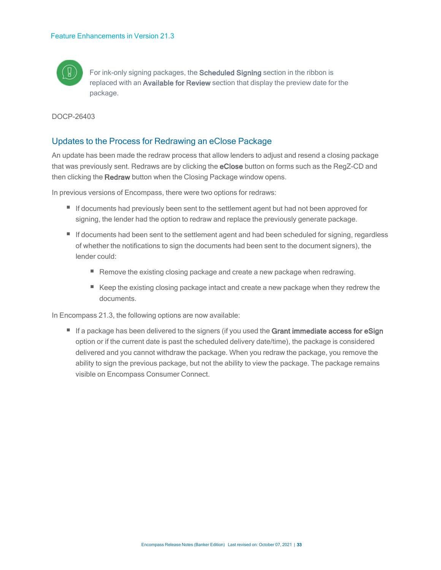

For ink-only signing packages, the Scheduled Signing section in the ribbon is replaced with an Available for Review section that display the preview date for the package.

DOCP-26403

### <span id="page-23-0"></span>Updates to the Process for Redrawing an eClose Package

An update has been made the redraw process that allow lenders to adjust and resend a closing package that was previously sent. Redraws are by clicking the eClose button on forms such as the RegZ-CD and then clicking the Redraw button when the Closing Package window opens.

In previous versions of Encompass, there were two options for redraws:

- If documents had previously been sent to the settlement agent but had not been approved for signing, the lender had the option to redraw and replace the previously generate package.
- If documents had been sent to the settlement agent and had been scheduled for signing, regardless of whether the notifications to sign the documents had been sent to the document signers), the lender could:
	- Remove the existing closing package and create a new package when redrawing.
	- Keep the existing closing package intact and create a new package when they redrew the documents.

In Encompass 21.3, the following options are now available:

■ If a package has been delivered to the signers (if you used the Grant immediate access for eSign option or if the current date is past the scheduled delivery date/time), the package is considered delivered and you cannot withdraw the package. When you redraw the package, you remove the ability to sign the previous package, but not the ability to view the package. The package remains visible on Encompass Consumer Connect.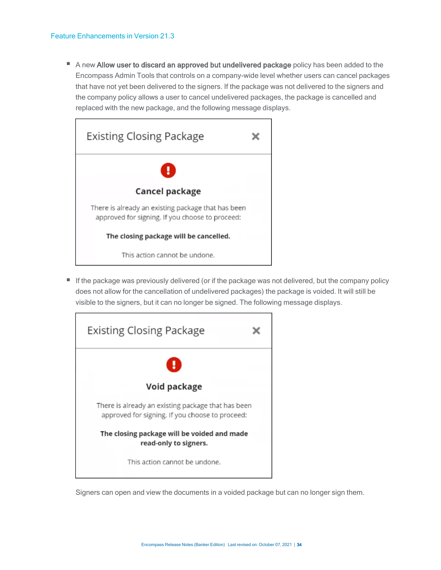■ A new Allow user to discard an approved but undelivered package policy has been added to the Encompass Admin Tools that controls on a company-wide level whether users can cancel packages that have not yet been delivered to the signers. If the package was not delivered to the signers and the company policy allows a user to cancel undelivered packages, the package is cancelled and replaced with the new package, and the following message displays.



■ If the package was previously delivered (or if the package was not delivered, but the company policy does not allow for the cancellation of undelivered packages) the package is voided. It will still be visible to the signers, but it can no longer be signed. The following message displays.



Signers can open and view the documents in a voided package but can no longer sign them.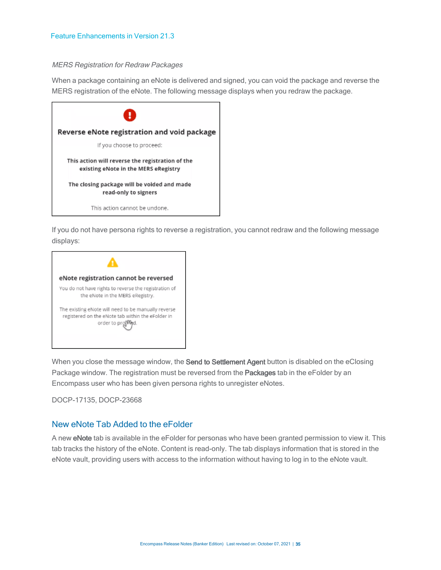#### MERS Registration for Redraw Packages

When a package containing an eNote is delivered and signed, you can void the package and reverse the MERS registration of the eNote. The following message displays when you redraw the package.



If you do not have persona rights to reverse a registration, you cannot redraw and the following message displays:



When you close the message window, the Send to Settlement Agent button is disabled on the eClosing Package window. The registration must be reversed from the **Packages** tab in the eFolder by an Encompass user who has been given persona rights to unregister eNotes.

DOCP-17135, DOCP-23668

### <span id="page-25-0"></span>New eNote Tab Added to the eFolder

A new eNote tab is available in the eFolder for personas who have been granted permission to view it. This tab tracks the history of the eNote. Content is read-only. The tab displays information that is stored in the eNote vault, providing users with access to the information without having to log in to the eNote vault.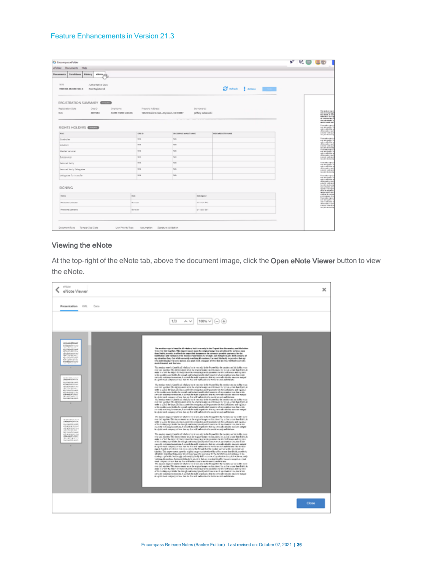| <b>O</b> Encompass eficides                                         |                    |                                      |                  |                         |                                                                                                                                                                                                                                                                                                                                                                             | $\kappa$ 6000                                                                 |
|---------------------------------------------------------------------|--------------------|--------------------------------------|------------------|-------------------------|-----------------------------------------------------------------------------------------------------------------------------------------------------------------------------------------------------------------------------------------------------------------------------------------------------------------------------------------------------------------------------|-------------------------------------------------------------------------------|
| eficider Documents Help                                             |                    |                                      |                  |                         |                                                                                                                                                                                                                                                                                                                                                                             |                                                                               |
| Conditions<br>eNote of C.<br><b>Documents</b><br><b>Nietery</b>     |                    |                                      |                  |                         |                                                                                                                                                                                                                                                                                                                                                                             |                                                                               |
| MIN<br>Authoritative Copy<br>Not Registered<br>0000306.8645007664.6 |                    |                                      |                  |                         | $\begin{picture}(180,10) \put(0,0){\vector(1,0){10}} \put(10,0){\vector(1,0){10}} \put(10,0){\vector(1,0){10}} \put(10,0){\vector(1,0){10}} \put(10,0){\vector(1,0){10}} \put(10,0){\vector(1,0){10}} \put(10,0){\vector(1,0){10}} \put(10,0){\vector(1,0){10}} \put(10,0){\vector(1,0){10}} \put(10,0){\vector(1,0){10}} \put(10,0){\vector(1,0){10}} \put(10,0){\vector($ |                                                                               |
| REGISTRATION SUMMARY CONTINUES.                                     |                    |                                      |                  |                         |                                                                                                                                                                                                                                                                                                                                                                             |                                                                               |
| Registration Date<br>Org (D)<br>Orginama                            | Property Address   |                                      | Bonnower(s)      |                         |                                                                                                                                                                                                                                                                                                                                                                             | The member copy of                                                            |
| 5619.<br>5897483                                                    | ACME HOME LOANS    | 12545 Main Street, Anytown, CO 93857 | jeffery Lebouwki |                         |                                                                                                                                                                                                                                                                                                                                                                             | was our listing<br><b>Bis Vald, &amp; and</b><br><b>Wilderman</b>             |
|                                                                     |                    |                                      |                  |                         |                                                                                                                                                                                                                                                                                                                                                                             | as sharks for.<br><b>JAN BURNING</b><br><b>BUILDING</b> AN                    |
| RIGHTS HOLDERS CONTINUES                                            |                    |                                      |                  |                         |                                                                                                                                                                                                                                                                                                                                                                             | For autobackgroups is<br>car to such a                                        |
| <b>ROLL</b>                                                         | 120610             | ENCOSPACI WANTL! NAME                |                  | <b>MUSICATIONS</b> NAVE |                                                                                                                                                                                                                                                                                                                                                                             | information for<br>of to market you<br>concells would up?                     |
|                                                                     | <b>Bulk</b>        | fu'a                                 |                  |                         |                                                                                                                                                                                                                                                                                                                                                                             | included and<br>The model prices in                                           |
| Controller                                                          |                    |                                      |                  |                         |                                                                                                                                                                                                                                                                                                                                                                             | are led builder.<br>independent for a<br>of taxonium rape                     |
| Location                                                            | <b>N/A</b>         | NW                                   |                  |                         |                                                                                                                                                                                                                                                                                                                                                                             | concrit vote out<br><b>Business must avera</b>                                |
| Micolan Services                                                    | <b>N/A</b>         | <b>NO</b>                            |                  |                         |                                                                                                                                                                                                                                                                                                                                                                             | The model render<br>car intiageler.<br>ustracted to                           |
| Subservicer                                                         | <b>Ball</b>        | <b>Arit</b>                          |                  |                         |                                                                                                                                                                                                                                                                                                                                                                             | of he stock in take<br>turned with a<br><b>Business should good</b>           |
| <b>Secured Party</b>                                                | <b>BUR</b>         | N/A                                  |                  |                         |                                                                                                                                                                                                                                                                                                                                                                             | The models copy<br>car beingebo."                                             |
| Secured Party Delagates                                             | <b>Pulle</b>       | fu'a                                 |                  |                         |                                                                                                                                                                                                                                                                                                                                                                             | information by<br>discountry up<br>concells would sign?                       |
|                                                                     | <b>BUR</b>         | <b>NW</b>                            |                  |                         |                                                                                                                                                                                                                                                                                                                                                                             | in a part deal and                                                            |
| Delegates for Institute:                                            |                    |                                      |                  |                         |                                                                                                                                                                                                                                                                                                                                                                             | The module cape is<br>one led leader.<br>advanced to                          |
|                                                                     |                    |                                      |                  |                         |                                                                                                                                                                                                                                                                                                                                                                             | of ta module tax<br>colorfa visit op!<br><b>BILDFORD RD</b>                   |
| <b>SIGNING</b>                                                      |                    |                                      |                  |                         |                                                                                                                                                                                                                                                                                                                                                                             | now is free of the<br><b>Ingelber Electronic</b><br>client do worwits         |
| Rame                                                                | <b>Bake</b>        | Dots Digital                         |                  |                         |                                                                                                                                                                                                                                                                                                                                                                             | large-call Ale<br>welching the matter<br>KAS CARAR ITY                        |
| Restaurant Louis can                                                | <b>Business</b> in |                                      | SWINSTORES       |                         |                                                                                                                                                                                                                                                                                                                                                                             | The models view is<br>are left leader.<br>outcountied by a<br>of to make your |
| <b>Passage Leaves</b>                                               | <b>Borough</b>     |                                      | 2/1/2021 2011    |                         |                                                                                                                                                                                                                                                                                                                                                                             | comedy working?<br><b>BUSINESS AND</b>                                        |
|                                                                     |                    |                                      |                  |                         |                                                                                                                                                                                                                                                                                                                                                                             |                                                                               |
|                                                                     |                    |                                      |                  |                         |                                                                                                                                                                                                                                                                                                                                                                             |                                                                               |
|                                                                     |                    |                                      |                  |                         |                                                                                                                                                                                                                                                                                                                                                                             |                                                                               |

### Viewing the eNote

At the top-right of the eNote tab, above the document image, click the Open eNote Viewer button to view the eNote.

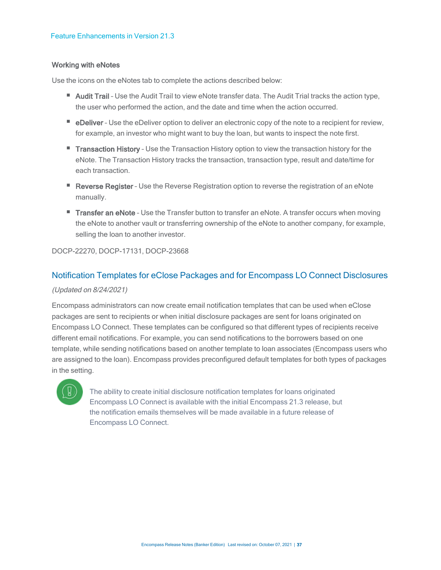### Working with eNotes

Use the icons on the eNotes tab to complete the actions described below:

- Audit Trail Use the Audit Trail to view eNote transfer data. The Audit Trial tracks the action type, the user who performed the action, and the date and time when the action occurred.
- eDeliver Use the eDeliver option to deliver an electronic copy of the note to a recipient for review, for example, an investor who might want to buy the loan, but wants to inspect the note first.
- **Transaction History** Use the Transaction History option to view the transaction history for the eNote. The Transaction History tracks the transaction, transaction type, result and date/time for each transaction.
- Reverse Register Use the Reverse Registration option to reverse the registration of an eNote manually.
- Transfer an eNote Use the Transfer button to transfer an eNote. A transfer occurs when moving the eNote to another vault or transferring ownership of the eNote to another company, for example, selling the loan to another investor.

### DOCP-22270, DOCP-17131, DOCP-23668

### <span id="page-27-0"></span>Notification Templates for eClose Packages and for Encompass LO Connect Disclosures (Updated on 8/24/2021)

Encompass administrators can now create email notification templates that can be used when eClose packages are sent to recipients or when initial disclosure packages are sent for loans originated on Encompass LO Connect. These templates can be configured so that different types of recipients receive different email notifications. For example, you can send notifications to the borrowers based on one template, while sending notifications based on another template to loan associates (Encompass users who are assigned to the loan). Encompass provides preconfigured default templates for both types of packages in the setting.



The ability to create initial disclosure notification templates for loans originated Encompass LO Connect is available with the initial Encompass 21.3 release, but the notification emails themselves will be made available in a future release of Encompass LO Connect.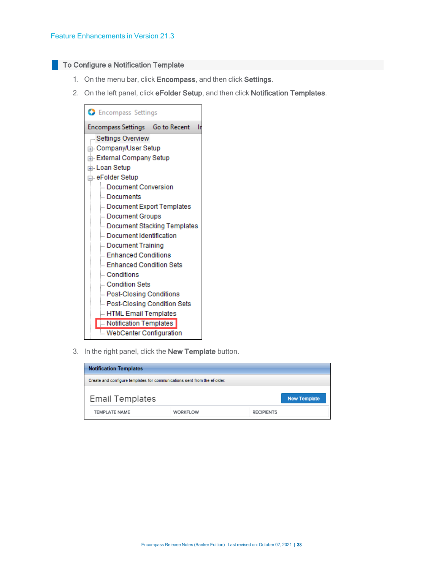### **To Configure a Notification Template**

- 1. On the menu bar, click Encompass, and then click Settings.
- 2. On the left panel, click eFolder Setup, and then click Notification Templates.



3. In the right panel, click the New Template button.

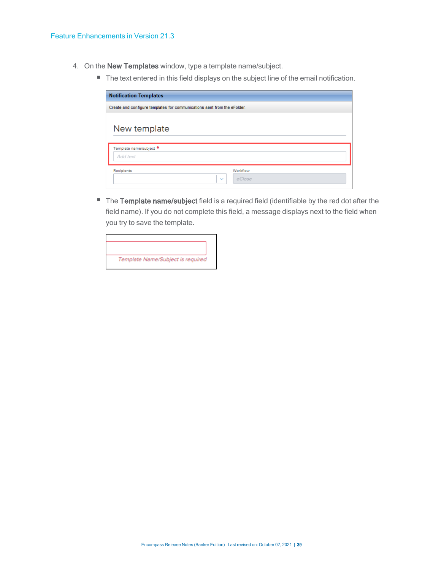- 4. On the New Templates window, type a template name/subject.
	- $\blacksquare$  The text entered in this field displays on the subject line of the email notification.

| <b>Notification Templates</b>                                            |                              |
|--------------------------------------------------------------------------|------------------------------|
| Create and configure templates for communications sent from the eFolder. |                              |
| New template                                                             |                              |
| Template name/subject .<br>Add text                                      |                              |
| Recipients                                                               | Workflow<br>eClose<br>$\sim$ |

■ The Template name/subject field is a required field (identifiable by the red dot after the field name). If you do not complete this field, a message displays next to the field when you try to save the template.

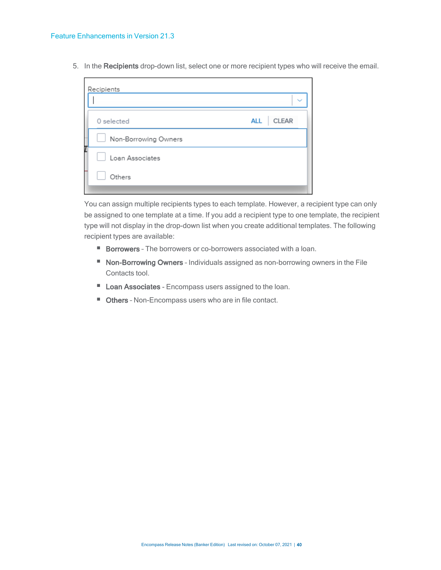5. In the Recipients drop-down list, select one or more recipient types who will receive the email.

| Recipients           |                            |
|----------------------|----------------------------|
| 0 selected           | <b>CLEAR</b><br><b>ALL</b> |
| Non-Borrowing Owners |                            |
| Loan Associates      |                            |
| Others               |                            |
|                      |                            |

You can assign multiple recipients types to each template. However, a recipient type can only be assigned to one template at a time. If you add a recipient type to one template, the recipient type will not display in the drop-down list when you create additional templates. The following recipient types are available:

- Borrowers The borrowers or co-borrowers associated with a loan.
- Non-Borrowing Owners Individuals assigned as non-borrowing owners in the File Contacts tool.
- **Loan Associates** Encompass users assigned to the loan.
- **Others** Non-Encompass users who are in file contact.